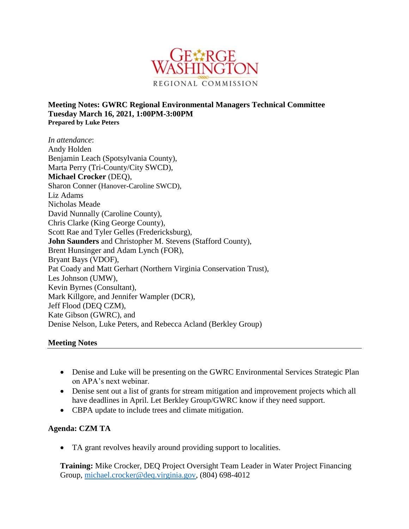

**Meeting Notes: GWRC Regional Environmental Managers Technical Committee Tuesday March 16, 2021, 1:00PM-3:00PM Prepared by Luke Peters**

*In attendance*: Andy Holden Benjamin Leach (Spotsylvania County), Marta Perry (Tri-County/City SWCD), **Michael Crocker** (DEQ), Sharon Conner (Hanover-Caroline SWCD), Liz Adams Nicholas Meade David Nunnally (Caroline County), Chris Clarke (King George County), Scott Rae and Tyler Gelles (Fredericksburg), **John Saunders** and Christopher M. Stevens (Stafford County), Brent Hunsinger and Adam Lynch (FOR), Bryant Bays (VDOF), Pat Coady and Matt Gerhart (Northern Virginia Conservation Trust), Les Johnson (UMW), Kevin Byrnes (Consultant), Mark Killgore, and Jennifer Wampler (DCR), Jeff Flood (DEQ CZM), Kate Gibson (GWRC), and Denise Nelson, Luke Peters, and Rebecca Acland (Berkley Group)

#### **Meeting Notes**

- Denise and Luke will be presenting on the GWRC Environmental Services Strategic Plan on APA's next webinar.
- Denise sent out a list of grants for stream mitigation and improvement projects which all have deadlines in April. Let Berkley Group/GWRC know if they need support.
- CBPA update to include trees and climate mitigation.

#### **Agenda: CZM TA**

TA grant revolves heavily around providing support to localities.

**Training:** Mike Crocker, DEQ Project Oversight Team Leader in Water Project Financing Group, [michael.crocker@deq.virginia.gov,](mailto:michael.crocker@deq.virginia.gov) (804) 698-4012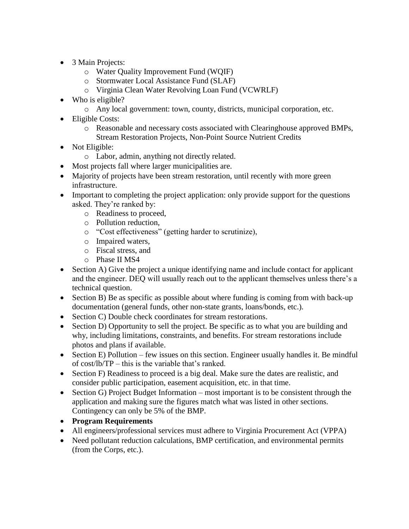- 3 Main Projects:
	- o Water Quality Improvement Fund (WQIF)
	- o Stormwater Local Assistance Fund (SLAF)
	- o Virginia Clean Water Revolving Loan Fund (VCWRLF)
- Who is eligible?
	- o Any local government: town, county, districts, municipal corporation, etc.
- Eligible Costs:
	- o Reasonable and necessary costs associated with Clearinghouse approved BMPs, Stream Restoration Projects, Non-Point Source Nutrient Credits
- Not Eligible:
	- o Labor, admin, anything not directly related.
- Most projects fall where larger municipalities are.
- Majority of projects have been stream restoration, until recently with more green infrastructure.
- Important to completing the project application: only provide support for the questions asked. They're ranked by:
	- o Readiness to proceed,
	- o Pollution reduction,
	- o "Cost effectiveness" (getting harder to scrutinize),
	- o Impaired waters,
	- o Fiscal stress, and
	- o Phase II MS4
- Section A) Give the project a unique identifying name and include contact for applicant and the engineer. DEQ will usually reach out to the applicant themselves unless there's a technical question.
- Section B) Be as specific as possible about where funding is coming from with back-up documentation (general funds, other non-state grants, loans/bonds, etc.).
- Section C) Double check coordinates for stream restorations.
- Section D) Opportunity to sell the project. Be specific as to what you are building and why, including limitations, constraints, and benefits. For stream restorations include photos and plans if available.
- Section E) Pollution few issues on this section. Engineer usually handles it. Be mindful of cost/lb/TP – this is the variable that's ranked.
- Section F) Readiness to proceed is a big deal. Make sure the dates are realistic, and consider public participation, easement acquisition, etc. in that time.
- $\bullet$  Section G) Project Budget Information most important is to be consistent through the application and making sure the figures match what was listed in other sections. Contingency can only be 5% of the BMP.
- **Program Requirements**
- All engineers/professional services must adhere to Virginia Procurement Act (VPPA)
- Need pollutant reduction calculations, BMP certification, and environmental permits (from the Corps, etc.).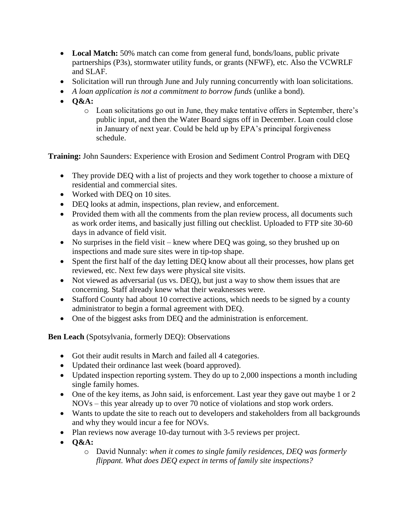- **Local Match:** 50% match can come from general fund, bonds/loans, public private partnerships (P3s), stormwater utility funds, or grants (NFWF), etc. Also the VCWRLF and SLAF.
- Solicitation will run through June and July running concurrently with loan solicitations.
- *A loan application is not a commitment to borrow funds* (unlike a bond).
- **O&A:** 
	- o Loan solicitations go out in June, they make tentative offers in September, there's public input, and then the Water Board signs off in December. Loan could close in January of next year. Could be held up by EPA's principal forgiveness schedule.

**Training:** John Saunders: Experience with Erosion and Sediment Control Program with DEQ

- They provide DEQ with a list of projects and they work together to choose a mixture of residential and commercial sites.
- Worked with DEQ on 10 sites.
- DEQ looks at admin, inspections, plan review, and enforcement.
- Provided them with all the comments from the plan review process, all documents such as work order items, and basically just filling out checklist. Uploaded to FTP site 30-60 days in advance of field visit.
- No surprises in the field visit knew where DEQ was going, so they brushed up on inspections and made sure sites were in tip-top shape.
- Spent the first half of the day letting DEQ know about all their processes, how plans get reviewed, etc. Next few days were physical site visits.
- Not viewed as adversarial (us vs. DEQ), but just a way to show them issues that are concerning. Staff already knew what their weaknesses were.
- Stafford County had about 10 corrective actions, which needs to be signed by a county administrator to begin a formal agreement with DEQ.
- One of the biggest asks from DEQ and the administration is enforcement.

**Ben Leach** (Spotsylvania, formerly DEQ): Observations

- Got their audit results in March and failed all 4 categories.
- Updated their ordinance last week (board approved).
- Updated inspection reporting system. They do up to 2,000 inspections a month including single family homes.
- One of the key items, as John said, is enforcement. Last year they gave out maybe 1 or 2 NOVs – this year already up to over 70 notice of violations and stop work orders.
- Wants to update the site to reach out to developers and stakeholders from all backgrounds and why they would incur a fee for NOVs.
- Plan reviews now average 10-day turnout with 3-5 reviews per project.
- **O&A:** 
	- o David Nunnaly: *when it comes to single family residences, DEQ was formerly flippant. What does DEQ expect in terms of family site inspections?*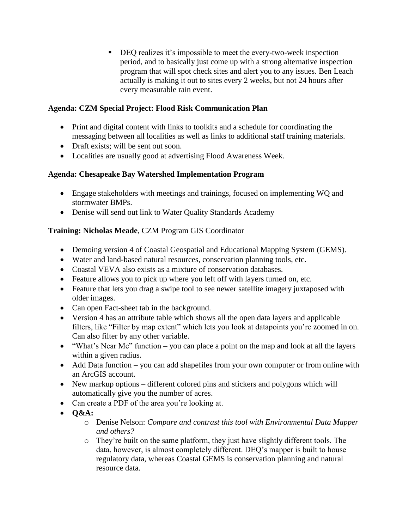■ DEO realizes it's impossible to meet the every-two-week inspection period, and to basically just come up with a strong alternative inspection program that will spot check sites and alert you to any issues. Ben Leach actually is making it out to sites every 2 weeks, but not 24 hours after every measurable rain event.

# **Agenda: CZM Special Project: Flood Risk Communication Plan**

- Print and digital content with links to toolkits and a schedule for coordinating the messaging between all localities as well as links to additional staff training materials.
- Draft exists: will be sent out soon.
- Localities are usually good at advertising Flood Awareness Week.

# **Agenda: Chesapeake Bay Watershed Implementation Program**

- Engage stakeholders with meetings and trainings, focused on implementing WQ and stormwater BMPs.
- Denise will send out link to Water Quality Standards Academy

# **Training: Nicholas Meade**, CZM Program GIS Coordinator

- Demoing version 4 of Coastal Geospatial and Educational Mapping System (GEMS).
- Water and land-based natural resources, conservation planning tools, etc.
- Coastal VEVA also exists as a mixture of conservation databases.
- Feature allows you to pick up where you left off with layers turned on, etc.
- Feature that lets you drag a swipe tool to see newer satellite imagery juxtaposed with older images.
- Can open Fact-sheet tab in the background.
- Version 4 has an attribute table which shows all the open data layers and applicable filters, like "Filter by map extent" which lets you look at datapoints you're zoomed in on. Can also filter by any other variable.
- "What's Near Me" function you can place a point on the map and look at all the layers within a given radius.
- Add Data function you can add shapefiles from your own computer or from online with an ArcGIS account.
- New markup options different colored pins and stickers and polygons which will automatically give you the number of acres.
- Can create a PDF of the area you're looking at.
- **O&A:** 
	- o Denise Nelson: *Compare and contrast this tool with Environmental Data Mapper and others?*
	- o They're built on the same platform, they just have slightly different tools. The data, however, is almost completely different. DEQ's mapper is built to house regulatory data, whereas Coastal GEMS is conservation planning and natural resource data.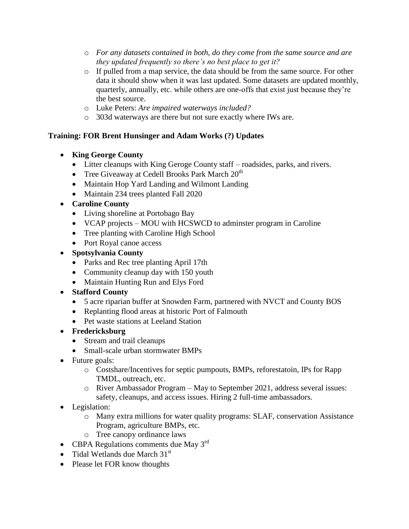- o *For any datasets contained in both, do they come from the same source and are they updated frequently so there's no best place to get it?*
- o If pulled from a map service, the data should be from the same source. For other data it should show when it was last updated. Some datasets are updated monthly, quarterly, annually, etc. while others are one-offs that exist just because they're the best source.
- o Luke Peters: *Are impaired waterways included?*
- o 303d waterways are there but not sure exactly where IWs are.

# **Training: FOR Brent Hunsinger and Adam Works (?) Updates**

- **King George County**
	- Litter cleanups with King Geroge County staff roadsides, parks, and rivers.
	- Tree Giveaway at Cedell Brooks Park March  $20<sup>th</sup>$
	- Maintain Hop Yard Landing and Wilmont Landing
	- Maintain 234 trees planted Fall 2020
- **Caroline County**
	- Living shoreline at Portobago Bay
	- VCAP projects MOU with HCSWCD to adminster program in Caroline
	- Tree planting with Caroline High School
	- Port Royal canoe access
- **Spotsylvania County**
	- Parks and Rec tree planting April 17th
	- Community cleanup day with 150 youth
	- Maintain Hunting Run and Elys Ford
- **Stafford County**
	- 5 acre riparian buffer at Snowden Farm, partnered with NVCT and County BOS
	- Replanting flood areas at historic Port of Falmouth
	- Pet waste stations at Leeland Station
- **Fredericksburg**
	- Stream and trail cleanups
	- Small-scale urban stormwater BMPs
- Future goals:
	- o Costshare/Incentives for septic pumpouts, BMPs, reforestatoin, IPs for Rapp TMDL, outreach, etc.
	- o River Ambassador Program May to September 2021, address several issues: safety, cleanups, and access issues. Hiring 2 full-time ambassadors.
- Legislation:
	- o Many extra millions for water quality programs: SLAF, conservation Assistance Program, agriculture BMPs, etc.
	- o Tree canopy ordinance laws
- CBPA Regulations comments due May  $3<sup>rd</sup>$
- Tidal Wetlands due March  $31<sup>st</sup>$
- Please let FOR know thoughts